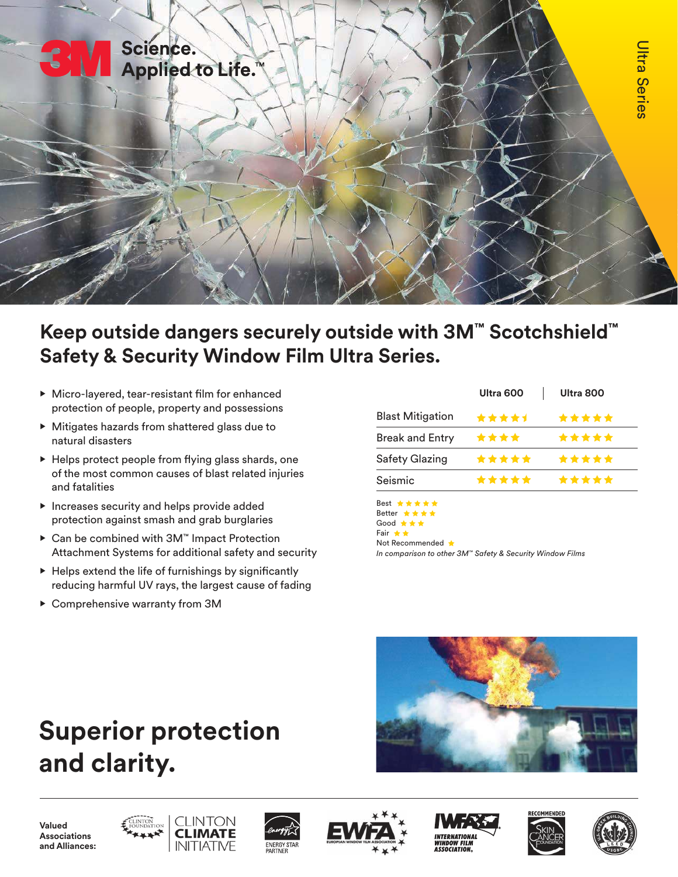

## **Keep outside dangers securely outside with 3M™ Scotchshield™ Safety & Security Window Film Ultra Series.**

- Micro-layered, tear-resistant film for enhanced protection of people, property and possessions
- Mitigates hazards from shattered glass due to natural disasters
- Helps protect people from flying glass shards, one of the most common causes of blast related injuries and fatalities
- Increases security and helps provide added protection against smash and grab burglaries
- Can be combined with 3M™ Impact Protection Attachment Systems for additional safety and security
- Helps extend the life of furnishings by significantly reducing harmful UV rays, the largest cause of fading
- Comprehensive warranty from 3M

|                         | Ultra 600 | Ultra 800 |
|-------------------------|-----------|-----------|
| <b>Blast Mitigation</b> | *****     | *****     |
| <b>Break and Entry</b>  | ****      | *****     |
| <b>Safety Glazing</b>   | *****     | *****     |
| Seismic                 | *****     | *****     |



Not Recommended

*In comparison to other 3M™ Safety & Security Window Films*



# **Superior protection and clarity.**

**Valued Associations and Alliances:**







**ASSOCIATION**